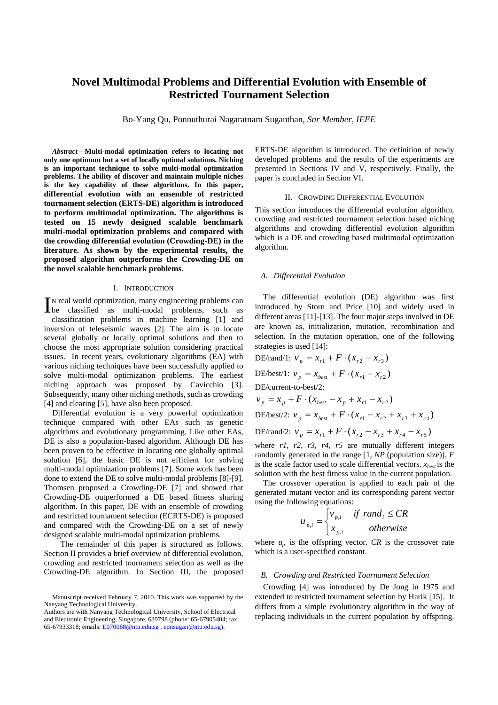# **Novel Multimodal Problems and Differential Evolution with Ensemble of Restricted Tournament Selection**

Bo-Yang Qu, Ponnuthurai Nagaratnam Suganthan, *Snr Member, IEEE*

*Abstract***—Multi-modal optimization refers to locating not only one optimum but a set of locally optimal solutions. Niching is an important technique to solve multi-modal optimization problems. The ability of discover and maintain multiple niches is the key capability of these algorithms. In this paper, differential evolution with an ensemble of restricted tournament selection (ERTS-DE) algorithm is introduced to perform multimodal optimization. The algorithms is tested on 15 newly designed scalable benchmark multi-modal optimization problems and compared with the crowding differential evolution (Crowding-DE) in the literature. As shown by the experimental results, the proposed algorithm outperforms the Crowding-DE on the novel scalable benchmark problems.**

### I. INTRODUCTION

N real world optimization, many engineering problems can IN real world optimization, many engineering problems can<br>be classified as multi-modal problems, such as classification problems in machine learning [1] and inversion of teleseismic waves [2]. The aim is to locate several globally or locally optimal solutions and then to choose the most appropriate solution considering practical issues. In recent years, evolutionary algorithms (EA) with various niching techniques have been successfully applied to solve multi-modal optimization problems. The earliest niching approach was proposed by Cavicchio [3]. Subsequently, many other niching methods, such as crowding [4] and clearing [5], have also been proposed.

 Differential evolution is a very powerful optimization technique compared with other EAs such as genetic algorithms and evolutionary programming. Like other EAs, DE is also a population-based algorithm. Although DE has been proven to be effective in locating one globally optimal solution [6], the basic DE is not efficient for solving multi-modal optimization problems [7]. Some work has been done to extend the DE to solve multi-modal problems [8]-[9]. Thomsen proposed a Crowding-DE [7] and showed that Crowding-DE outperformed a DE based fitness sharing algorithm. In this paper, DE with an ensemble of crowding and restricted tournament selection (ECRTS-DE) is proposed and compared with the Crowding-DE on a set of newly designed scalable multi-modal optimization problems.

 The remainder of this paper is structured as follows. Section II provides a brief overview of differential evolution, crowding and restricted tournament selection as well as the Crowding-DE algorithm. In Section III, the proposed ERTS-DE algorithm is introduced. The definition of newly developed problems and the results of the experiments are presented in Sections IV and V, respectively. Finally, the paper is concluded in Section VI.

### II. CROWDING DIFFERENTIAL EVOLUTION

This section introduces the differential evolution algorithm, crowding and restricted tournament selection based niching algorithms and crowding differential evolution algorithm which is a DE and crowding based multimodal optimization algorithm.

### *A. Differential Evolution*

The differential evolution (DE) algorithm was first introduced by Storn and Price [10] and widely used in different areas [11]-[13]. The four major steps involved in DE are known as, initialization, mutation, recombination and selection. In the mutation operation, one of the following strategies is used [14]:

DE/rand/1: 
$$
v_p = x_{r1} + F \cdot (x_{r2} - x_{r3})
$$
  
DE/best/1:  $v_p = x_{best} + F \cdot (x_{r1} - x_{r2})$   
DE/current-to-best/2:  
 $v_p = x_p + F \cdot (x_{best} - x_p + x_{r1} - x_{r2})$ 

DE/best/2: 
$$
v_p = x_{best} + F \cdot (x_{r1} - x_{r2} + x_{r3} + x_{r4})
$$

DE/rand/2: 
$$
v_p = x_{r1} + F \cdot (x_{r2} - x_{r3} + x_{r4} - x_{r5})
$$

where *r1*, *r2*, *r3*, *r4*, *r5* are mutually different integers randomly generated in the range [1, *NP* (population size)], *F* is the scale factor used to scale differential vectors.  $x_{best}$  is the solution with the best fitness value in the current population.

 The crossover operation is applied to each pair of the generated mutant vector and its corresponding parent vector using the following equations:

$$
u_{p,i} = \begin{cases} v_{p,i} & \text{if } rand_i \le CR \\ x_{p,i} & \text{otherwise} \end{cases}
$$

where  $u_p$  is the offspring vector. *CR* is the crossover rate which is a user-specified constant.

### *B. Crowding and Restricted Tournament Selection*

Crowding [4] was introduced by De Jong in 1975 and extended to restricted tournament selection by Harik [15]. It differs from a simple evolutionary algorithm in the way of replacing individuals in the current population by offspring.

Manuscript received February 7, 2010. This work was supported by the Nanyang Technological University.

Authors are with Nanyang Technological University, School of Electrical and Electronic Engineering, Singapore, 639798 (phone: 65-67905404; fax: 65-67933318; emails: E070088@ntu.edu.sg , epnsugan@ntu.edu.sg).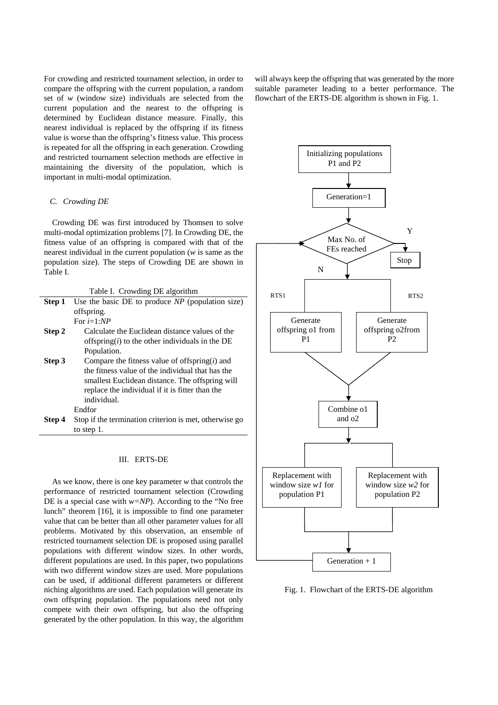For crowding and restricted tournament selection, in order to compare the offspring with the current population, a random set of *w* (window size) individuals are selected from the current population and the nearest to the offspring is determined by Euclidean distance measure. Finally, this nearest individual is replaced by the offspring if its fitness value is worse than the offspring's fitness value. This process is repeated for all the offspring in each generation. Crowding and restricted tournament selection methods are effective in maintaining the diversity of the population, which is important in multi-modal optimization.

### *C. Crowding DE*

Crowding DE was first introduced by Thomsen to solve multi-modal optimization problems [7]. In Crowding DE, the fitness value of an offspring is compared with that of the nearest individual in the current population (*w* is same as the population size). The steps of Crowding DE are shown in Table I.

| Table I. Crowding DE algorithm |                                                        |  |  |  |
|--------------------------------|--------------------------------------------------------|--|--|--|
| Step 1                         | Use the basic DE to produce $NP$ (population size)     |  |  |  |
|                                | offspring.                                             |  |  |  |
|                                | For $i=1:NP$                                           |  |  |  |
| Step 2                         | Calculate the Euclidean distance values of the         |  |  |  |
|                                | offspring( $i$ ) to the other individuals in the DE    |  |  |  |
|                                | Population.                                            |  |  |  |
| Step 3                         | Compare the fitness value of offspring $(i)$ and       |  |  |  |
|                                | the fitness value of the individual that has the       |  |  |  |
|                                | smallest Euclidean distance. The offspring will        |  |  |  |
|                                | replace the individual if it is fitter than the        |  |  |  |
|                                | individual.                                            |  |  |  |
|                                | Endfor                                                 |  |  |  |
| Step 4                         | Stop if the termination criterion is met, otherwise go |  |  |  |
|                                | to step 1.                                             |  |  |  |

## III. ERTS-DE

As we know, there is one key parameter *w* that controls the performance of restricted tournament selection (Crowding DE is a special case with *w=NP*). According to the "No free lunch" theorem [16], it is impossible to find one parameter value that can be better than all other parameter values for all problems. Motivated by this observation, an ensemble of restricted tournament selection DE is proposed using parallel populations with different window sizes. In other words, different populations are used. In this paper, two populations with two different window sizes are used. More populations can be used, if additional different parameters or different niching algorithms are used. Each population will generate its own offspring population. The populations need not only compete with their own offspring, but also the offspring generated by the other population. In this way, the algorithm

will always keep the offspring that was generated by the more suitable parameter leading to a better performance. The flowchart of the ERTS-DE algorithm is shown in Fig. 1.



Fig. 1. Flowchart of the ERTS-DE algorithm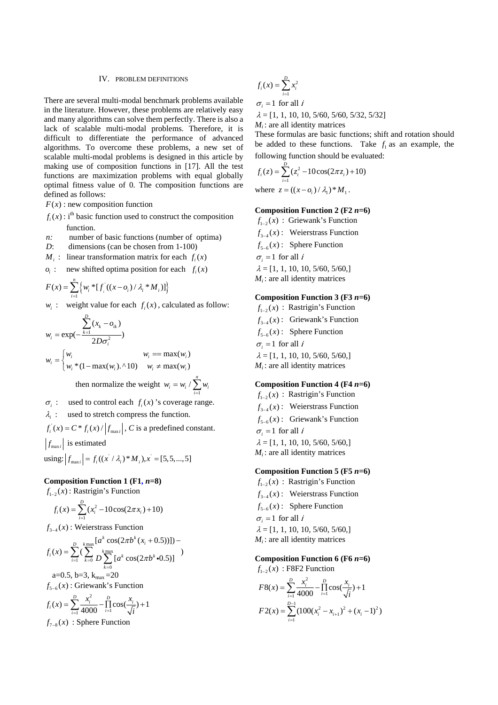### IV. PROBLEM DEFINITIONS

There are several multi-modal benchmark problems available in the literature. However, these problems are relatively easy and many algorithms can solve them perfectly. There is also a lack of scalable multi-modal problems. Therefore, it is difficult to differentiate the performance of advanced algorithms. To overcome these problems, a new set of scalable multi-modal problems is designed in this article by making use of composition functions in [17]. All the test functions are maximization problems with equal globally optimal fitness value of 0. The composition functions are defined as follows:

- $F(x)$ : new composition function
- $f(x)$ : i<sup>th</sup> basic function used to construct the composition function.
- *n*: number of basic functions (number of optima)
- *D*: dimensions (can be chosen from 1-100)
- *M<sub>i</sub>* : linear transformation matrix for each  $f_i(x)$
- $o_i$  : new shifted optima position for each  $f_i(x)$

$$
F(x) = \sum_{i=1}^{n} \left\{ w_i * [f_i](x - o_i) / \lambda_i * M_i) \right\}
$$

 $w_i$ : weight value for each  $f_i(x)$ , calculated as follow:

$$
w_i = \exp(-\frac{\sum_{k=1}^{D} (x_k - o_{ik})}{2D\sigma_i^2})
$$
  

$$
w_i = \begin{cases} w_i & w_i == \max(w_i) \\ w_i * (1 - \max(w_i). \land 10) & w_i \neq \max(w_i) \end{cases}
$$
  
then normalize the weight  $w_i = w_i / \sum_{i=1}^{n} w_i$ 

 $\sigma_i$ : used to control each  $f_i(x)$ 's coverage range. <sup>λ</sup>*i* : used to stretch compress the function.  $f_i(x) = C \cdot f_i(x) / |f_{\text{max }i}|$ , *C* is a predefined constant.

 $|f_{\text{max}i}|$  is estimated

 $\text{using: } |f_{\text{max }i}| = f_i((x / \lambda_i)^* M_i), x = [5, 5, ..., 5]$ 

### **Composition Function 1 (F1,** *n***=8)**

 $f_{1-2}(x)$ : Rastrigin's Function

$$
f_i(x) = \sum_{i=1}^{D} (x_i^2 - 10\cos(2\pi x_i) + 10)
$$

 $f_{3/4}(x)$ : Weierstrass Function

$$
f_i(x) = \sum_{i=1}^{D} \left( \sum_{k=0}^{k_{\text{max}}} \left[ a^k \cos(2\pi b^k (x_i + 0.5)) \right] \right) -
$$
  

$$
2 - 0.5 \text{ h} - 3 \text{ k} = -20
$$

a=0.5, b=3,  $k_{max}$ =20  $f_{5-6}(x)$ : Griewank's Function

$$
f_i(x) = \sum_{i=1}^{D} \frac{x_i^2}{4000} - \prod_{i=1}^{D} \cos(\frac{x_i}{\sqrt{i}}) + 1
$$
  
 $f_{7-8}(x)$ : Sphere Function

$$
f_i(x) = \sum_{i=1}^D x_i^2
$$

$$
\sigma_i = 1 \text{ for all } i
$$

 $\lambda = [1, 1, 10, 10, 5/60, 5/60, 5/32, 5/32]$ 

 $M_i$ : are all identity matrices

These formulas are basic functions; shift and rotation should be added to these functions. Take  $f_i$  as an example, the following function should be evaluated:

$$
f_i(z) = \sum_{i=1}^{D} (z_i^2 - 10\cos(2\pi z_i) + 10)
$$
  
where  $z = ((x - o_i) / \lambda_1)^* M_1$ .

### **Composition Function 2 (F2** *n***=6)**

 $f_{1-2}(x)$ : Griewank's Function  $f_{3-4}(x)$ : Weierstrass Function  $f_{5-6}(x)$ : Sphere Function  $\sigma_i = 1$  for all *i*  $\lambda = [1, 1, 10, 10, 5/60, 5/60, ]$  $M_i$ : are all identity matrices

### **Composition Function 3 (F3** *n***=6)**

 $f_{1-2}(x)$ : Rastrigin's Function  $f_{3-4}(x)$ : Griewank's Function  $f_{5-6}(x)$ : Sphere Function  $\sigma_i = 1$  for all *i*  $\lambda = [1, 1, 10, 10, 5/60, 5/60, ]$  $M_i$ : are all identity matrices

### **Composition Function 4 (F4** *n***=6)**

 $f_{1-2}(x)$ : Rastrigin's Function  $f_{3-4}(x)$ : Weierstrass Function  $f_{5-6}(x)$ : Griewank's Function  $\sigma_i = 1$  for all *i*  $\lambda = [1, 1, 10, 10, 5/60, 5/60, ]$  $M_i$ : are all identity matrices

# **Composition Function 5 (F5** *n***=6)**

 $f_{1-2}(x)$ : Rastrigin's Function  $f_{3-4}(x)$ : Weierstrass Function  $f_{5-6}(x)$ : Sphere Function

$$
\sigma_i = 1
$$
 for all *i*

$$
\lambda = [1, 1, 10, 10, 5/60, 5/60, ]
$$

 $M_i$ : are all identity matrices

### **Composition Function 6 (F6** *n***=6)**

 $f_{1-2}(x)$ : F8F2 Function

$$
F8(x) = \sum_{i=1}^{D} \frac{x_i^2}{4000} - \prod_{i=1}^{D} \cos(\frac{x_i}{\sqrt{i}}) + 1
$$
  

$$
F2(x) = \sum_{i=1}^{D-1} (100(x_i^2 - x_{i+1})^2 + (x_i - 1)^2)
$$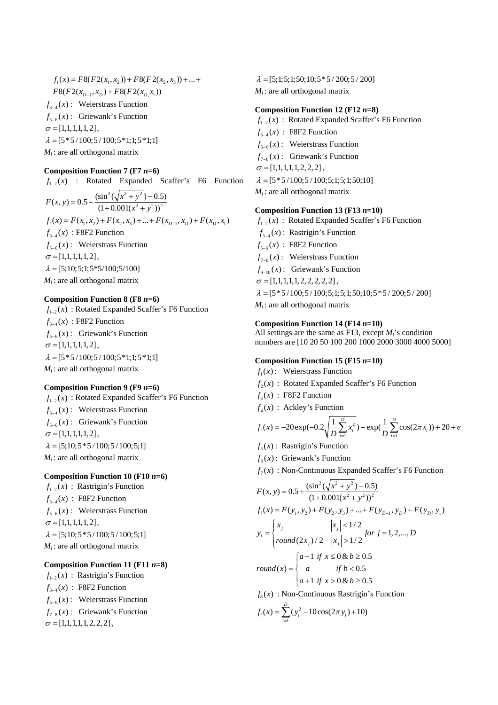$$
f_i(x) = FS(F2(x_1, x_2)) + FS(F2(x_2, x_3)) + ... +
$$
  
\n
$$
F8(F2(x_{D-1}, x_D) + FS(F2(x_{D,} x_1))
$$
  
\n
$$
f_{3-4}(x):
$$
 Weierstrass Function  
\n
$$
f_{5-6}(x):
$$
 Griewank's Function  
\n
$$
\sigma = [1, 1, 1, 1, 1, 2],
$$
  
\n
$$
\lambda = [5 * 5 / 100; 5 / 100; 5 * 1; 1; 5 * 1; 1]
$$
  
\n
$$
M_i: \text{ are all orthogonal matrix}
$$

### **Composition Function 7 (F7** *n***=6)**

 $f_{1-2}(x)$  : Rotated Expanded Scaffer's F6 Function  $2(1.2.2)$  $F(x, y) = 0.5 + \frac{(\sin^2(\sqrt{x^2 + y^2}) - 0.5)}{(1 + 0.001(x^2 + y^2))^2}$  $= 0.5 + \frac{(\sin^2(\sqrt{x^2 + y^2}) - (1 + 0.001(x^2 + y^2)))}{(1 + 0.001(x^2 + y^2))}$  $f_i(x) = F(x_1, x_2) + F(x_2, x_3) + ... + F(x_{n-1}, x_n) + F(x_n, x_1)$  $f_{3-4}(x)$ : F8F2 Function  $f_{5-6}(x)$ : Weierstrass Function  $\sigma = [1, 1, 1, 1, 1, 2],$  $\lambda = [5;10;5;1;5*5/100;5/100]$  $M_i$ : are all orthogonal matrix

### **Composition Function 8 (F8** *n***=6)**

 $f_{1-2}(x)$ : Rotated Expanded Scaffer's F6 Function  $f_{3-4}(x)$ : F8F2 Function  $f_{5-6}(x)$ : Griewank's Function  $\sigma = [1,1,1,1,1,2],$  $\lambda = [5 * 5 / 100; 5 / 100; 5 * 1; 1; 5 * 1; 1]$  $M_i$ : are all orthogonal matrix

### **Composition Function 9 (F9** *n***=6)**

 $f_{1-2}(x)$ : Rotated Expanded Scaffer's F6 Function  $f_{3-4}(x)$ : Weierstrass Function  $f_{5-6}(x)$ : Griewank's Function  $\sigma = [1,1,1,1,1,2],$  $\lambda = [5;10;5*5/100;5/100;5;1]$  $M_i$ : are all orthogonal matrix

### **Composition Function 10 (F10** *n***=6)**

 $f_{1-2}(x)$ : Rastrigin's Function  $f_{3-4}(x)$ : F8F2 Function  $f_{5-6}(x)$ : Weierstrass Function  $\sigma = [1,1,1,1,1,2],$  $\lambda = [5;10;5*5/100;5/100;5;1]$  $M_i$ : are all orthogonal matrix

# **Composition Function 11 (F11** *n***=8)**

 $f_{1-2}(x)$ : Rastrigin's Function  $f_{3-4}(x)$ : F8F2 Function  $f_{5-6}(x)$ : Weierstrass Function  $f_{7-s}(x)$ : Griewank's Function  $\sigma = [1,1,1,1,1,2,2,2]$ ,

 $\lambda = [5;1;5;1;50;10;5*5/200;5/200]$  $M_i$ : are all orthogonal matrix

### **Composition Function 12 (F12** *n***=8)**

 $f_{1-2}(x)$ : Rotated Expanded Scaffer's F6 Function  $f_{3-4}(x)$ : F8F2 Function  $f_{5-6}(x)$ : Weierstrass Function  $f_{7-8}(x)$ : Griewank's Function  $\sigma = [1, 1, 1, 1, 1, 2, 2, 2]$ ,  $\lambda = 5*5/100; 5/100; 5; 1; 5; 1; 50; 101$ 

 $M_i$ : are all orthogonal matrix

### **Composition Function 13 (F13** *n***=10)**

 $f_{1-2}(x)$ : Rotated Expanded Scaffer's F6 Function  $f_{3-4}(x)$ : Rastrigin's Function  $f_{5-6}(x)$ : F8F2 Function  $f_{7-8}(x)$ : Weierstrass Function  $f_{9-10}(x)$ : Griewank's Function  $\sigma = [1, 1, 1, 1, 1, 2, 2, 2, 2, 2]$ ,  $\lambda = [5 * 5 / 100; 5 / 100; 5; 1; 5; 1; 50; 10; 5 * 5 / 200; 5 / 200]$  $M_i$ : are all orthogonal matrix

### **Composition Function 14 (F14** *n***=10)**

All settings are the same as F13, except *Mi*'s condition numbers are [10 20 50 100 200 1000 2000 3000 4000 5000]

### **Composition Function 15 (F15** *n***=10)**

- $f_1(x)$ : Weierstrass Function
- $f(x)$ : Rotated Expanded Scaffer's F6 Function
- $f_3(x)$ : F8F2 Function
- $f_4(x)$ : Ackley's Function

$$
f_i(x) = -20 \exp(-0.2 \sqrt{\frac{1}{D} \sum_{i=1}^{D} x_i^2}) - \exp(\frac{1}{D} \sum_{i=1}^{D} \cos(2\pi x_i)) + 20 + e
$$

- $f<sub>s</sub>(x)$ : Rastrigin's Function
- $f<sub>6</sub>(x)$ : Griewank's Function
- $f_7(x)$ : Non-Continuous Expanded Scaffer's F6 Function

$$
F(x, y) = 0.5 + \frac{(\sin^2(\sqrt{x^2 + y^2}) - 0.5)}{(1 + 0.001(x^2 + y^2))^2}
$$
  
\n
$$
f_i(x) = F(y_1, y_2) + F(y_2, y_3) + ... + F(y_{D-1}, y_D) + F(y_D, y_1)
$$
  
\n
$$
y_i = \begin{cases} x_j & |x_j| < 1/2 \\ \text{round}(2x_j) / 2 & |x_j| > 1/2 \end{cases}
$$
 for  $j = 1, 2, ..., D$   
\n
$$
round(x) = \begin{cases} a - 1 & \text{if } x \le 0 \& b \ge 0.5 \\ a & \text{if } b < 0.5 \\ a + 1 & \text{if } x > 0 \& b \ge 0.5 \end{cases}
$$
  
\n
$$
f_8(x) : \text{Non-Continuous Rastrigin's Function}
$$

$$
f_i(x) = \sum_{i=1}^{D} (y_i^2 - 10\cos(2\pi y_i) + 10)
$$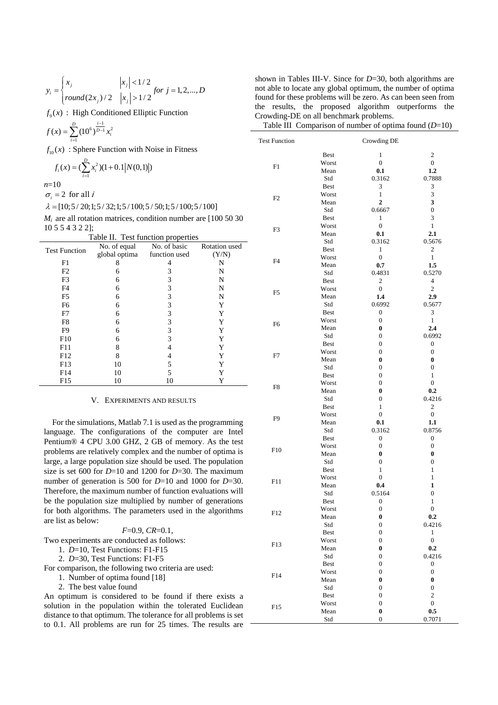$$
y_i = \begin{cases} x_j & |x_j| < 1/2 \\ round(2x_j) / 2 & |x_j| > 1/2 \end{cases} for j = 1, 2, ..., D
$$

 $f<sub>9</sub>(x)$ : High Conditioned Elliptic Function

$$
f(x) = \sum_{i=1}^{D} (10^6)^{\frac{i-1}{D-1}} x_i^2
$$

$$
f_i(x) = (\sum_{i=1}^{D} x_i^2)(1+0.1|N(0,1)|)
$$

| Table II. Test function properties |               |               |               |  |
|------------------------------------|---------------|---------------|---------------|--|
| <b>Test Function</b>               | No. of equal  | No. of basic  | Rotation used |  |
|                                    | global optima | function used | (Y/N)         |  |
| F1                                 | 8             | 4             | N             |  |
| F2                                 | 6             | 3             | N             |  |
| F <sub>3</sub>                     | 6             | 3             | N             |  |
| F <sub>4</sub>                     | 6             | 3             | N             |  |
| F <sub>5</sub>                     | 6             | 3             | N             |  |
| F <sub>6</sub>                     | 6             | 3             | Y             |  |
| F7                                 | 6             | 3             | Y             |  |
| F8                                 | 6             | 3             | Y             |  |
| F <sub>9</sub>                     | 6             | 3             | Y             |  |
| F10                                | 6             | 3             | Y             |  |
| F11                                | 8             |               | Y             |  |
| F <sub>12</sub>                    | 8             | 4             | Y             |  |
| F13                                | 10            | 5             | Y             |  |
| F14                                | 10            | 5             |               |  |
| F15                                | 10            | 10            |               |  |

### V. EXPERIMENTS AND RESULTS

| $F=0.9$ , $CR=0.1$ .                                            |
|-----------------------------------------------------------------|
| Two experiments are conducted as follows:                       |
| 1. $D=10$ , Test Functions: F1-F15                              |
| 2. $D=30$ , Test Functions: F1-F5                               |
| For comparison, the following two criteria are used:            |
| 1. Number of optima found [18]                                  |
| 2. The best value found                                         |
| An optimum is considered to be found if there exists a          |
| solution in the population within the tolerated Euclidean       |
| distance to that optimum. The tolerance for all problems is set |

shown in Tables III-V. Since for *D*=30, both algorithms are not able to locate any global optimum, the number of optima found for these problems will be zero. As can been seen from the results, the proposed algorithm outperforms the Crowding-DE on all benchmark problems.

Table III Comparison of number of optima found (*D*=10)

| $f(x) = \sum_{i=1}^{\infty} (10^{-i})$ $x_i$ |                                                                  |                            |               | <b>Test Function</b> |                      | Crowding DE                  |                                   |
|----------------------------------------------|------------------------------------------------------------------|----------------------------|---------------|----------------------|----------------------|------------------------------|-----------------------------------|
|                                              | $f_{10}(x)$ : Sphere Function with Noise in Fitness              |                            |               |                      |                      |                              |                                   |
|                                              |                                                                  |                            |               |                      | <b>Best</b>          | 1                            | $\overline{\mathbf{c}}$           |
|                                              | $f_i(x) = (\sum_{i=1}^{D} x_i^2)(1+0.1 N(0,1) )$                 |                            |               | F1                   | Worst                | $\mathbf{0}$                 | $\overline{0}$                    |
|                                              |                                                                  |                            |               |                      | Mean                 | 0.1                          | $1.2\phantom{0}$                  |
| $n=10$                                       |                                                                  |                            |               |                      | Std<br><b>Best</b>   | 0.3162<br>3                  | 0.7888<br>3                       |
| $\sigma_i = 2$ for all <i>i</i>              |                                                                  |                            |               |                      | Worst                | $\mathbf{1}$                 | 3                                 |
|                                              |                                                                  |                            |               | F <sub>2</sub>       | Mean                 | $\mathbf{2}$                 | 3                                 |
|                                              | $\lambda = [10; 5/20; 1; 5/32; 1; 5/100; 5/50; 1; 5/100; 5/100]$ |                            |               |                      | Std                  | 0.6667                       | $\mathbf{0}$                      |
|                                              | $M_i$ are all rotation matrices, condition number are [100 50 30 |                            |               |                      | <b>Best</b>          | -1                           | 3                                 |
| 10 5 5 4 3 2 2];                             |                                                                  |                            |               | F <sub>3</sub>       | Worst                | $\mathbf{0}$                 | $\mathbf{1}$                      |
|                                              | Table II. Test function properties                               |                            |               |                      | Mean                 | 0.1                          | 2.1                               |
| <b>Test Function</b>                         | No. of equal                                                     | No. of basic               | Rotation used |                      | Std<br><b>Best</b>   | 0.3162<br>1                  | 0.5676<br>$\overline{\mathbf{c}}$ |
|                                              | global optima                                                    | function used              | (Y/N)         |                      | Worst                | $\boldsymbol{0}$             | $\mathbf{1}$                      |
| F1                                           | 8                                                                | 4                          | N             | F <sub>4</sub>       | Mean                 | 0.7                          | 1.5                               |
| F2                                           | 6                                                                | 3                          | N             |                      | Std                  | 0.4831                       | 0.5270                            |
| F3                                           | 6                                                                | 3                          | N             |                      | <b>Best</b>          | $\overline{\mathbf{c}}$      | 4                                 |
| F4                                           | 6                                                                | 3                          | N             | F <sub>5</sub>       | Worst                | $\mathbf{0}$                 | $\overline{c}$                    |
| F <sub>5</sub>                               | 6                                                                | 3                          | N             |                      | Mean                 | 1.4                          | 2.9                               |
| F <sub>6</sub>                               | 6                                                                | 3                          | Y             |                      | Std<br><b>Best</b>   | 0.6992<br>$\boldsymbol{0}$   | 0.5677<br>3                       |
| F7                                           | 6                                                                | 3                          | Y             |                      | Worst                | $\overline{0}$               | $\mathbf{1}$                      |
| F8<br>F <sub>9</sub>                         | 6<br>6                                                           | 3<br>3                     | Y<br>Y        | F <sub>6</sub>       | Mean                 | 0                            | 2.4                               |
| F10                                          | 6                                                                | 3                          | Y             |                      | Std                  | $\mathbf{0}$                 | 0.6992                            |
| F11                                          | 8                                                                | 4                          | Y             |                      | <b>Best</b>          | $\mathbf{0}$                 | $\bf{0}$                          |
| F12                                          | 8                                                                | 4                          | Y             | F7                   | Worst                | $\overline{0}$               | $\mathbf{0}$                      |
| F13                                          | 10                                                               | 5                          | Y             |                      | Mean                 | 0                            | 0                                 |
| F14                                          | 10                                                               | 5                          | Y             |                      | Std                  | $\mathbf{0}$<br>$\theta$     | $\mathbf{0}$<br>1                 |
| F15                                          | 10                                                               | 10                         | Y             |                      | <b>Best</b><br>Worst | $\overline{0}$               | $\boldsymbol{0}$                  |
|                                              |                                                                  |                            |               | F8                   | Mean                 | $\bf{0}$                     | 0.2                               |
|                                              |                                                                  | V. EXPERIMENTS AND RESULTS |               |                      | Std                  | $\overline{0}$               | 0.4216                            |
|                                              |                                                                  |                            |               |                      | <b>Best</b>          | 1                            | $\mathbf{2}$                      |
|                                              |                                                                  |                            |               | F <sub>9</sub>       | Worst                | $\overline{0}$               | $\boldsymbol{0}$                  |
|                                              | For the simulations, Matlab 7.1 is used as the programming       |                            |               |                      | Mean                 | 0.1                          | 1.1                               |
|                                              | language. The configurations of the computer are Intel           |                            |               |                      | Std<br><b>Best</b>   | 0.3162<br>$\overline{0}$     | 0.8756<br>$\boldsymbol{0}$        |
|                                              | Pentium® 4 CPU 3.00 GHZ, 2 GB of memory. As the test             |                            |               |                      | Worst                | $\mathbf{0}$                 | $\mathbf{0}$                      |
|                                              | problems are relatively complex and the number of optima is      |                            |               | F10                  | Mean                 | 0                            | $\bf{0}$                          |
|                                              | large, a large population size should be used. The population    |                            |               |                      | Std                  | $\overline{0}$               | $\mathbf{0}$                      |
|                                              | size is set 600 for $D=10$ and 1200 for $D=30$ . The maximum     |                            |               |                      | <b>Best</b>          | 1                            | 1                                 |
|                                              | number of generation is 500 for $D=10$ and 1000 for $D=30$ .     |                            |               | F11                  | Worst                | $\boldsymbol{0}$             | 1                                 |
|                                              | Therefore, the maximum number of function evaluations will       |                            |               |                      | Mean                 | 0.4                          | 1                                 |
|                                              | be the population size multiplied by number of generations       |                            |               |                      | Std                  | 0.5164<br>$\boldsymbol{0}$   | $\boldsymbol{0}$                  |
|                                              |                                                                  |                            |               |                      | <b>Best</b><br>Worst | $\boldsymbol{0}$             | 1<br>$\overline{0}$               |
|                                              | for both algorithms. The parameters used in the algorithms       |                            |               | F12                  | Mean                 | $\bf{0}$                     | 0.2                               |
| are list as below:                           |                                                                  |                            |               |                      | Std                  | $\mathbf{0}$                 | 0.4216                            |
|                                              |                                                                  | $F=0.9, CR=0.1,$           |               |                      | <b>Best</b>          | $\mathbf{0}$                 | 1                                 |
|                                              | Two experiments are conducted as follows:                        |                            |               | F13                  | Worst                | $\mathbf{0}$                 | $\boldsymbol{0}$                  |
|                                              | 1. D=10, Test Functions: F1-F15                                  |                            |               |                      | Mean                 | 0                            | 0.2                               |
|                                              | 2. D=30, Test Functions: F1-F5                                   |                            |               |                      | Std                  | $\Omega$                     | 0.4216                            |
|                                              | For comparison, the following two criteria are used:             |                            |               |                      | <b>Best</b><br>Worst | $\mathbf{0}$<br>$\mathbf{0}$ | $\bf{0}$<br>$\bf{0}$              |
|                                              | 1. Number of optima found [18]                                   |                            |               | F14                  | Mean                 | 0                            | 0                                 |
|                                              | 2. The best value found                                          |                            |               |                      | Std                  | $\overline{0}$               | 0                                 |
|                                              | An optimum is considered to be found if there exists a           |                            |               |                      | <b>Best</b>          | $\mathbf{0}$                 | 2                                 |
|                                              | solution in the population within the tolerated Euclidean        |                            |               | F15                  | Worst                | $\boldsymbol{0}$             | $\boldsymbol{0}$                  |
|                                              | distance to that optimum. The tolerance for all problems is set  |                            |               |                      | Mean                 | $\boldsymbol{0}$             | 0.5                               |
|                                              | to 0.1. All problems are run for 25 times. The results are       |                            |               |                      | Std                  | $\boldsymbol{0}$             | 0.7071                            |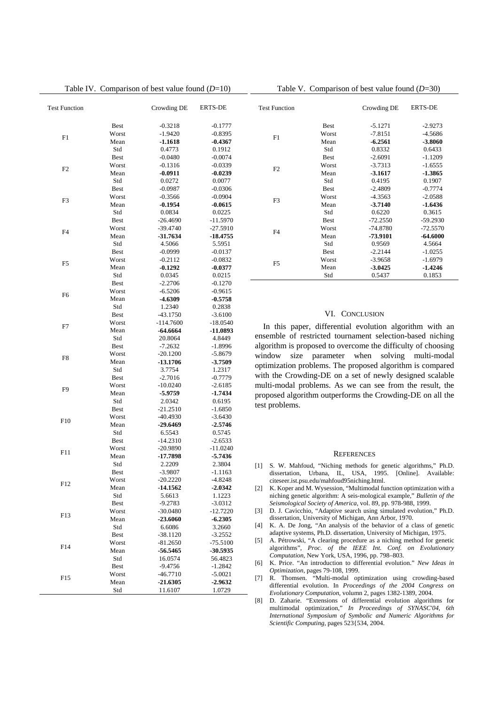Table IV. Comparison of best value found (*D*=10)

| <b>Test Function</b> |             | Crowding DE       | <b>ERTS-DE</b>    |
|----------------------|-------------|-------------------|-------------------|
|                      | <b>Best</b> | $-0.3218$         | $-0.1777$         |
|                      | Worst       | $-1.9420$         | $-0.8395$         |
| F1                   | Mean        | -1.1618           | $-0.4367$         |
|                      | Std         | 0.4773            | 0.1912            |
|                      | <b>Best</b> | $-0.0480$         | $-0.0074$         |
|                      | Worst       | $-0.1316$         | $-0.0339$         |
| F <sub>2</sub>       | Mean        | $-0.0911$         | -0.0239           |
|                      | Std         | 0.0272            | 0.0077            |
|                      | <b>Best</b> | $-0.0987$         | $-0.0306$         |
|                      | Worst       | $-0.3566$         | $-0.0904$         |
| F <sub>3</sub>       | Mean        | $-0.1954$         | $-0.0615$         |
|                      | Std         | 0.0834            | 0.0225            |
|                      | <b>Best</b> | $-26.4690$        | $-11.5970$        |
| F <sub>4</sub>       | Worst       | -39.4740          | $-27.5910$        |
|                      | Mean        | $-31.7634$        | $-18.4755$        |
|                      | Std         | 4.5066            | 5.5951            |
|                      | <b>Best</b> | $-0.0999$         | $-0.0137$         |
| F <sub>5</sub>       | Worst       | $-0.2112$         | $-0.0832$         |
|                      | Mean        | $-0.1292$         | $-0.0377$         |
|                      | Std         | 0.0345            | 0.0215            |
|                      | <b>Best</b> | $-2.2706$         | $-0.1270$         |
| F <sub>6</sub>       | Worst       | $-6.5206$         | $-0.9615$         |
|                      | Mean        | -4.6309           | $-0.5758$         |
|                      | Std         | 1.2340            | 0.2838            |
|                      | <b>Best</b> | $-43.1750$        | $-3.6100$         |
| F7                   | Worst       | $-114.7600$       | $-18.0540$        |
|                      | Mean        | $-64.6664$        | -11.0893          |
|                      | Std         | 20.8064           | 4.8449            |
|                      | <b>Best</b> | $-7.2632$         | $-1.8996$         |
| F8                   | Worst       | $-20.1200$        | -5.8679           |
|                      | Mean        | -13.1706          | -3.7509           |
|                      | Std         | 3.7754            | 1.2317            |
|                      | <b>Best</b> | $-2.7016$         | $-0.7779$         |
| F <sub>9</sub>       | Worst       | $-10.0240$        | $-2.6185$         |
|                      | Mean<br>Std | -5.9759<br>2.0342 | -1.7434<br>0.6195 |
|                      | <b>Best</b> | -21.2510          | -1.6850           |
|                      | Worst       | $-40.4930$        | -3.6430           |
| F10                  | Mean        | $-29.6469$        | $-2.5746$         |
|                      | Std         | 6.5543            | 0.5745            |
|                      | <b>Best</b> | $-14.2310$        | $-2.6533$         |
|                      | Worst       | $-20.9890$        | $-11.0240$        |
| F11                  | Mean        | $-17.7898$        | -5.7436           |
|                      | Std         | 2.2209            | 2.3804            |
|                      | <b>Best</b> | -3.9807           | -1.1163           |
|                      | Worst       | $-20.2220$        | $-4.8248$         |
| F12                  | Mean        | -14.1562          | -2.0342           |
|                      | Std         | 5.6613            | 1.1223            |
|                      | <b>Best</b> | $-9.2783$         | $-3.0312$         |
|                      | Worst       | -30.0480          | $-12.7220$        |
| F <sub>13</sub>      | Mean        | $-23.6060$        | -6.2305           |
|                      | Std         | 6.6086            | 3.2660            |
|                      | <b>Best</b> | $-38.1120$        | -3.2552           |
| F14                  | Worst       | -81.2650          | $-75.5100$        |
|                      | Mean        | -56.5465          | $-30.5935$        |
|                      | Std         | 16.0574           | 56.4823           |
|                      | <b>Best</b> | $-9.4756$         | -1.2842           |
| F <sub>15</sub>      | Worst       | -46.7710          | $-5.0021$         |
|                      | Mean        | -21.6305          | -2.9632           |
|                      | Std         | 11.6107           | 1.0729            |

Table V. Comparison of best value found (*D*=30)

| <b>Test Function</b> |             | Crowding DE | <b>ERTS-DE</b> |
|----------------------|-------------|-------------|----------------|
|                      | <b>Best</b> | $-5.1271$   | $-2.9273$      |
| F1                   | Worst       | $-7.8151$   | $-4.5686$      |
|                      | Mean        | $-6.2561$   | $-3.8060$      |
|                      | Std         | 0.8332      | 0.6433         |
|                      | <b>Best</b> | $-2.6091$   | $-1.1209$      |
| F2                   | Worst       | $-3.7313$   | $-1.6555$      |
|                      | Mean        | $-3.1617$   | $-1.3865$      |
|                      | Std         | 0.4195      | 0.1907         |
|                      | <b>Best</b> | $-2.4809$   | $-0.7774$      |
| F <sub>3</sub>       | Worst       | $-4.3563$   | $-2.0588$      |
|                      | Mean        | $-3.7140$   | $-1.6436$      |
|                      | Std         | 0.6220      | 0.3615         |
|                      | <b>Best</b> | $-72.2550$  | $-59.2930$     |
| F4                   | Worst       | $-74.8780$  | $-72.5570$     |
|                      | Mean        | -73.9101    | $-64.6000$     |
|                      | Std         | 0.9569      | 4.5664         |
|                      | <b>Best</b> | $-2.2144$   | $-1.0255$      |
| F <sub>5</sub>       | Worst       | $-3.9658$   | $-1.6979$      |
|                      | Mean        | $-3.0425$   | $-1.4246$      |
|                      | Std         | 0.5437      | 0.1853         |

### VI. CONCLUSION

In this paper, differential evolution algorithm with an ensemble of restricted tournament selection-based niching algorithm is proposed to overcome the difficulty of choosing window size parameter when solving multi-modal optimization problems. The proposed algorithm is compared with the Crowding-DE on a set of newly designed scalable multi-modal problems. As we can see from the result, the proposed algorithm outperforms the Crowding-DE on all the test problems.

#### **REFERENCES**

- [1] S. W. Mahfoud, "Niching methods for genetic algorithms," Ph.D. dissertation, Urbana, IL, USA, 1995. [Online]. Available: citeseer.ist.psu.edu/mahfoud95niching.html.
- [2] K. Koper and M. Wysession, "Multimodal function optimization with a niching genetic algorithm: A seis-mological example," *Bulletin of the Seismological Society of America*, vol. 89, pp. 978-988, 1999.
- [3] D. J. Cavicchio, "Adaptive search using simulated evolution," Ph.D. dissertation, University of Michigan, Ann Arbor, 1970.
- [4] K. A. De Jong, "An analysis of the behavior of a class of genetic adaptive systems, Ph.D. dissertation, University of Michigan, 1975.
- [5] A. Pétrowski, "A clearing procedure as a niching method for genetic algorithms", *Proc. of the IEEE Int. Conf. on Evolutionary Computation*, New York, USA, 1996, pp. 798–803.
- [6] K. Price. "An introduction to differential evolution." *New Ideas in Optimization,* pages 79-108, 1999.
- [7] R. Thomsen. "Multi-modal optimization using crowding-based differential evolution. In *Proceedings of the 2004 Congress on Evolutionary Computation,* volumn 2, pages 1382-1389, 2004.
- [8] D. Zaharie. "Extensions of differential evolution algorithms for multimodal optimization," *In Proceedings of SYNASC'04, 6th International Symposium of Symbolic and Numeric Algorithms for Scientific Computing*, pages 523{534, 2004.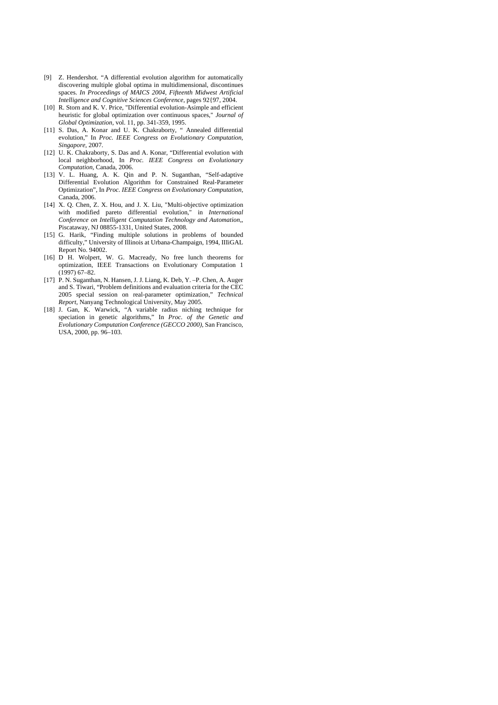- [9] Z. Hendershot. "A differential evolution algorithm for automatically discovering multiple global optima in multidimensional, discontinues spaces. *In Proceedings of MAICS 2004, Fifteenth Midwest Artificial Intelligence and Cognitive Sciences Conference*, pages 92{97, 2004.
- [10] R. Storn and K. V. Price, "Differential evolution-Asimple and efficient heuristic for global optimization over continuous spaces," *Journal of Global Optimization,* vol. 11, pp. 341-359, 1995.
- [11] S. Das, A. Konar and U. K. Chakraborty, " Annealed differential evolution," In *Proc. IEEE Congress on Evolutionary Computation, Singapore,* 2007.
- [12] U. K. Chakraborty, S. Das and A. Konar, "Differential evolution with local neighborhood, In *Proc. IEEE Congress on Evolutionary Computation,* Canada, 2006.
- [13] V. L. Huang, A. K. Qin and P. N. Suganthan, "Self-adaptive Differential Evolution Algorithm for Constrained Real-Parameter Optimization", In *Proc. IEEE Congress on Evolutionary Computation,*  Canada, 2006.
- [14] X. Q. Chen, Z. X. Hou, and J. X. Liu, "Multi-objective optimization with modified pareto differential evolution," in *International Conference on Intelligent Computation Technology and Automation,*, Piscataway, NJ 08855-1331, United States, 2008.
- [15] G. Harik, "Finding multiple solutions in problems of bounded difficulty," University of Illinois at Urbana-Champaign, 1994, IIIiGAL Report No. 94002.
- [16] D H. Wolpert, W. G. Macready, No free lunch theorems for optimization, IEEE Transactions on Evolutionary Computation 1  $(1997)$  67–82.
- [17] P. N. Suganthan, N. Hansen, J. J. Liang, K. Deb, Y. –P. Chen, A. Auger and S. Tiwari, "Problem definitions and evaluation criteria for the CEC 2005 special session on real-parameter optimization," *Technical Report,* Nanyang Technological University, May 2005.
- [18] J. Gan, K. Warwick, "A variable radius niching technique for speciation in genetic algorithms," In *Proc. of the Genetic and Evolutionary Computation Conference (GECCO 2000)*, San Francisco, USA, 2000, pp. 96–103.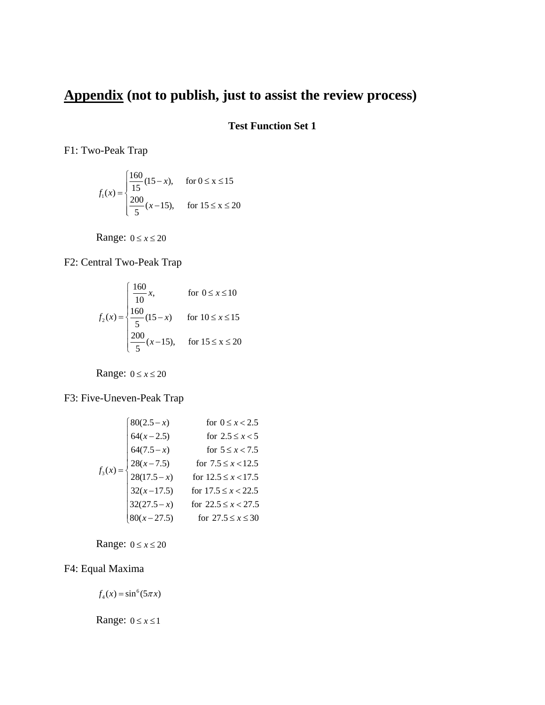# **Appendix (not to publish, just to assist the review process)**

# **Test Function Set 1**

F1: Two-Peak Trap

$$
f_1(x) = \begin{cases} \frac{160}{15}(15-x), & \text{for } 0 \le x \le 15\\ \frac{200}{5}(x-15), & \text{for } 15 \le x \le 20 \end{cases}
$$

Range:  $0 \le x \le 20$ 

F2: Central Two-Peak Trap

$$
f_2(x) = \begin{cases} \frac{160}{10}x, & \text{for } 0 \le x \le 10\\ \frac{160}{5}(15-x) & \text{for } 10 \le x \le 15\\ \frac{200}{5}(x-15), & \text{for } 15 \le x \le 20 \end{cases}
$$

Range:  $0 \le x \le 20$ 

F3: Five-Uneven-Peak Trap

$$
f_3(x) = \begin{cases} 80(2.5 - x) & \text{for } 0 \le x < 2.5 \\ 64(x - 2.5) & \text{for } 2.5 \le x < 5 \\ 64(7.5 - x) & \text{for } 5 \le x < 7.5 \\ 28(x - 7.5) & \text{for } 7.5 \le x < 12.5 \\ 28(17.5 - x) & \text{for } 12.5 \le x < 17.5 \\ 32(x - 17.5) & \text{for } 17.5 \le x < 22.5 \\ 32(27.5 - x) & \text{for } 22.5 \le x < 27.5 \\ 80(x - 27.5) & \text{for } 27.5 \le x \le 30 \end{cases}
$$

Range:  $0 \le x \le 20$ 

# F4: Equal Maxima

 $f_4(x) = \sin^6(5\pi x)$ 

Range:  $0 \le x \le 1$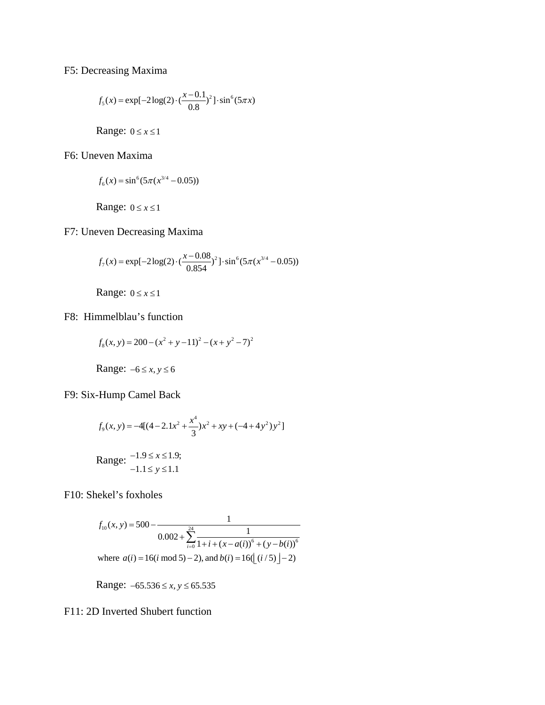F5: Decreasing Maxima

$$
f_5(x) = \exp[-2\log(2) \cdot (\frac{x - 0.1}{0.8})^2] \cdot \sin^6(5\pi x)
$$

Range:  $0 \le x \le 1$ 

F6: Uneven Maxima

$$
f_6(x) = \sin^6(5\pi(x^{3/4} - 0.05))
$$

Range:  $0 \le x \le 1$ 

F7: Uneven Decreasing Maxima

$$
f_7(x) = \exp[-2\log(2) \cdot (\frac{x - 0.08}{0.854})^2] \cdot \sin^6(5\pi (x^{3/4} - 0.05))
$$

Range:  $0 \le x \le 1$ 

F8: Himmelblau's function

$$
f_8(x, y) = 200 - (x^2 + y - 11)^2 - (x + y^2 - 7)^2
$$

Range: 
$$
-6 \le x, y \le 6
$$

F9: Six-Hump Camel Back

$$
f_9(x, y) = -4[(4 - 2.1x^2 + \frac{x^4}{3})x^2 + xy + (-4 + 4y^2)y^2]
$$
  
Range:  $-1.9 \le x \le 1.9$ ;

$$
\text{Range:} \quad \begin{array}{c} \text{...} \\ \text{-1.1} \leq y \leq 1.1 \end{array}
$$

F10: Shekel's foxholes

$$
f_{10}(x, y) = 500 - \frac{1}{0.002 + \sum_{i=0}^{24} \frac{1}{1 + i + (x - a(i))^6 + (y - b(i))^6}}
$$
  
where  $a(i) = 16(i \mod 5) - 2$ , and  $b(i) = 16(\lfloor (i/5) \rfloor - 2)$ 

Range:  $-65.536 \le x, y \le 65.535$ 

F11: 2D Inverted Shubert function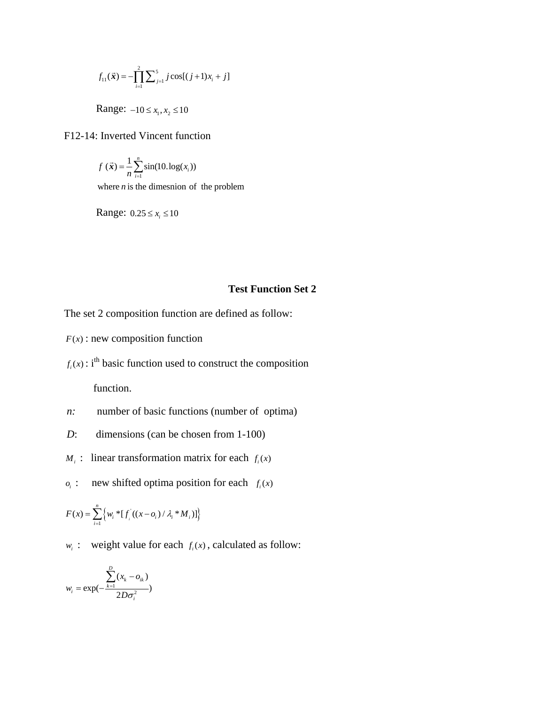$$
f_{11}(\vec{x}) = -\prod_{i=1}^{2} \sum_{j=1}^{5} j \cos[(j+1)x_i + j]
$$

Range:  $-10 \le x_1, x_2 \le 10$ 

# F12-14: Inverted Vincent function

$$
f(\vec{x}) = \frac{1}{n} \sum_{i=1}^{n} \sin(10.\log(x_i))
$$
  
where *n* is the dimension of the problem

Range:  $0.25 \le x_i \le 10$ 

# **Test Function Set 2**

The set 2 composition function are defined as follow:

- $F(x)$ : new composition function
- $f_i(x)$ : i<sup>th</sup> basic function used to construct the composition function.
- *n*: number of basic functions (number of optima)
- *D*: dimensions (can be chosen from 1-100)
- *M<sub>i</sub>* : linear transformation matrix for each  $f_i(x)$
- $i$  *o<sub>i</sub>* : new shifted optima position for each  $f_i(x)$

$$
F(x) = \sum_{i=1}^{n} \left\{ w_i * [f_i](x - o_i) / \lambda_i * M_i) \right\}
$$

*w<sub>i</sub>* : weight value for each  $f_i(x)$ , calculated as follow:

$$
w_i = \exp(-\frac{\sum_{k=1}^{D} (x_k - o_{ik})}{2D\sigma_i^2})
$$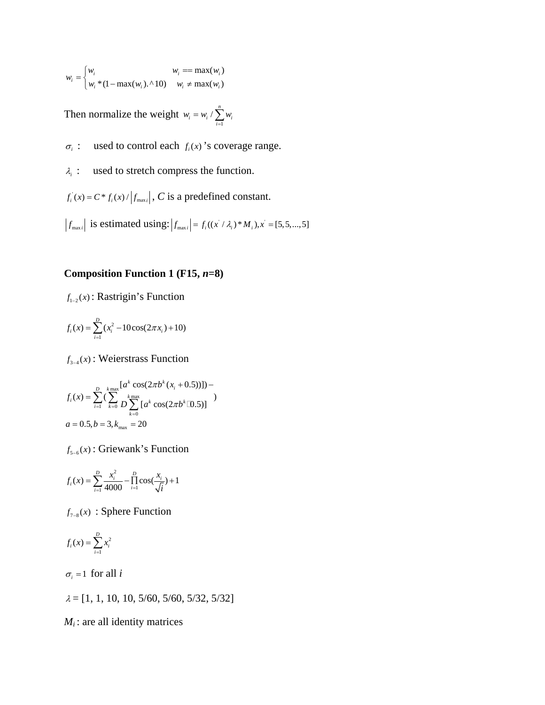$$
w_i = \begin{cases} w_i & w_i == \max(w_i) \\ w_i * (1 - \max(w_i). \land 10) & w_i \neq \max(w_i) \end{cases}
$$

Then normalize the weight  $w_i = w_i / \sum_{i=1}^{n}$  $i = w_i \wedge \sum_{i=1}^{\infty} w_i$  $w_i = w_i / \sum w_i$  $= w_i / \sum_{i=1}$ 

 $\sigma_i$  : used to control each  $f_i(x)$ 's coverage range.

<sup>λ</sup>*i* : used to stretch compress the function.

 $f_i(x) = C \cdot f_i(x) / |f_{\text{max}}|$ , *C* is a predefined constant.

 $f_{\text{max }i}$  is estimated using:  $|f_{\text{max }i}| = f_i((x / \lambda_i) * M_i), x = [5, 5, ..., 5]$ 

# **Composition Function 1 (F15,** *n***=8)**

 $f_{1-2}(x)$ : Rastrigin's Function

$$
f_i(x) = \sum_{i=1}^{D} (x_i^2 - 10\cos(2\pi x_i) + 10)
$$

 $f_{3-4}(x)$ : Weierstrass Function

$$
f_i(x) = \sum_{i=1}^{D} \left(\sum_{k=0}^{k_{\text{max}}} D \sum_{k=0}^{k_{\text{max}}} [a^k \cos(2\pi b^k (x_i + 0.5))]\right) -
$$
  

$$
a = 0.5, b = 3, k_{\text{max}} = 20
$$

 $f_{5-6}(x)$ : Griewank's Function

$$
f_i(x) = \sum_{i=1}^{D} \frac{x_i^2}{4000} - \prod_{i=1}^{D} \cos(\frac{x_i}{\sqrt{i}}) + 1
$$

 $f_{7-8}(x)$ : Sphere Function

$$
f_i(x) = \sum_{i=1}^D x_i^2
$$

 $\sigma_i = 1$  for all *i* 

 $\lambda = [1, 1, 10, 10, 5/60, 5/60, 5/32, 5/32]$ 

 $M_i$ : are all identity matrices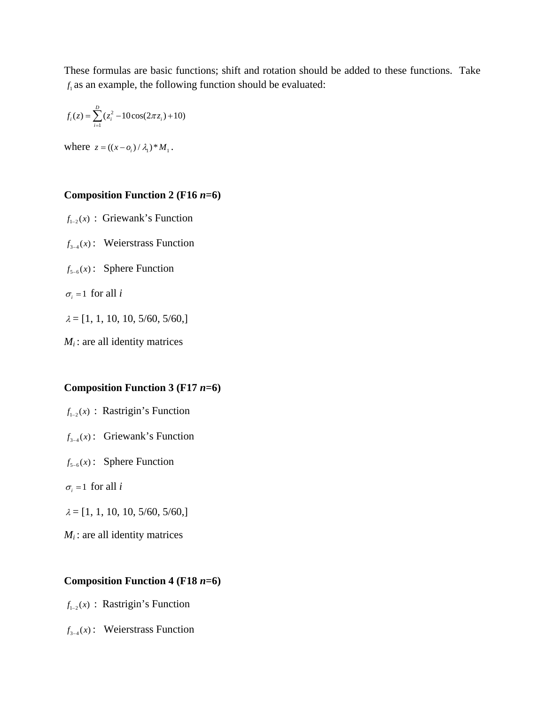These formulas are basic functions; shift and rotation should be added to these functions. Take  $f_i$  as an example, the following function should be evaluated:

$$
f_i(z) = \sum_{i=1}^{D} (z_i^2 - 10\cos(2\pi z_i) + 10)
$$

where  $z = ((x - 0) / \lambda_1)^* M_1$ .

# **Composition Function 2 (F16** *n***=6)**

 $f_{1-2}(x)$ : Griewank's Function  $f_{3-4}(x)$ : Weierstrass Function  $f_{5-6}(x)$ : Sphere Function  $\sigma_i = 1$  for all *i* 

 $\lambda = [1, 1, 10, 10, 5/60, 5/60, ]$ 

 $M_i$ : are all identity matrices

### **Composition Function 3 (F17** *n***=6)**

- $f_{1-2}(x)$ : Rastrigin's Function
- $f_{3-4}(x)$ : Griewank's Function
- $f_{5-6}(x)$ : Sphere Function
- $\sigma_i = 1$  for all *i*
- $\lambda = [1, 1, 10, 10, 5/60, 5/60, ]$
- $M_i$ : are all identity matrices

## **Composition Function 4 (F18** *n***=6)**

- $f_{1-2}(x)$ : Rastrigin's Function
- $f_{3-4}(x)$ : Weierstrass Function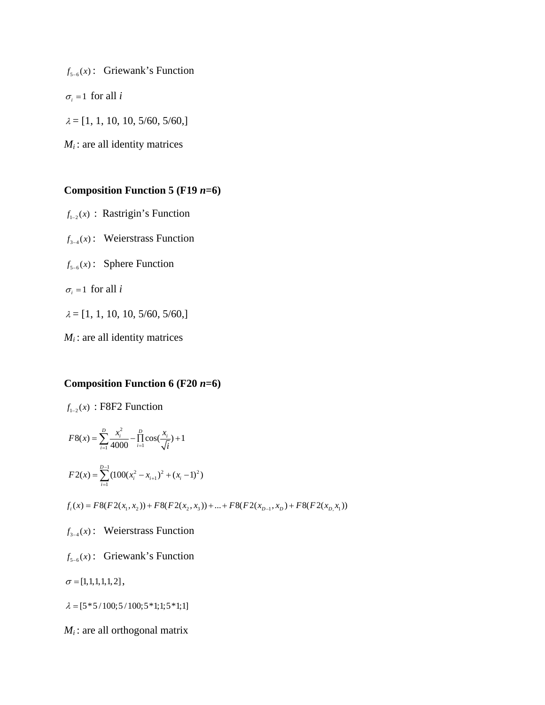$f_{5-6}(x)$ : Griewank's Function

 $\sigma_i = 1$  for all *i* 

 $\lambda = [1, 1, 10, 10, 5/60, 5/60, ]$ 

 $M_i$ : are all identity matrices

# **Composition Function 5 (F19** *n***=6)**

- $f_{1-2}(x)$ : Rastrigin's Function
- $f_{3-4}(x)$ : Weierstrass Function
- $f_{5-6}(x)$ : Sphere Function
- $\sigma_i = 1$  for all *i*
- $\lambda = [1, 1, 10, 10, 5/60, 5/60, ]$
- $M_i$ : are all identity matrices

# **Composition Function 6 (F20** *n***=6)**

$$
f_{1-2}(x) : F8F2 \text{ Function}
$$
\n
$$
F8(x) = \sum_{i=1}^{D} \frac{x_i^2}{4000} - \prod_{i=1}^{D} \cos(\frac{x_i}{\sqrt{i}}) + 1
$$
\n
$$
F2(x) = \sum_{i=1}^{D-1} (100(x_i^2 - x_{i+1})^2 + (x_i - 1)^2)
$$
\n
$$
f_i(x) = F8(F2(x_i, x_2)) + F8(F2(x_2, x_3)) + ... + F8(F2(x_{D-1}, x_D) + F8(F2(x_{D}, x_1))
$$
\n
$$
f_{3-4}(x) : \text{ Weierstrass Function}
$$
\n
$$
f_{5-6}(x) : \text{Griewank's Function}
$$
\n
$$
\sigma = [1, 1, 1, 1, 1, 2],
$$

 $\lambda = [5 * 5 / 100; 5 / 100; 5 * 1; 1; 5 * 1; 1]$ 

 $M_i$ : are all orthogonal matrix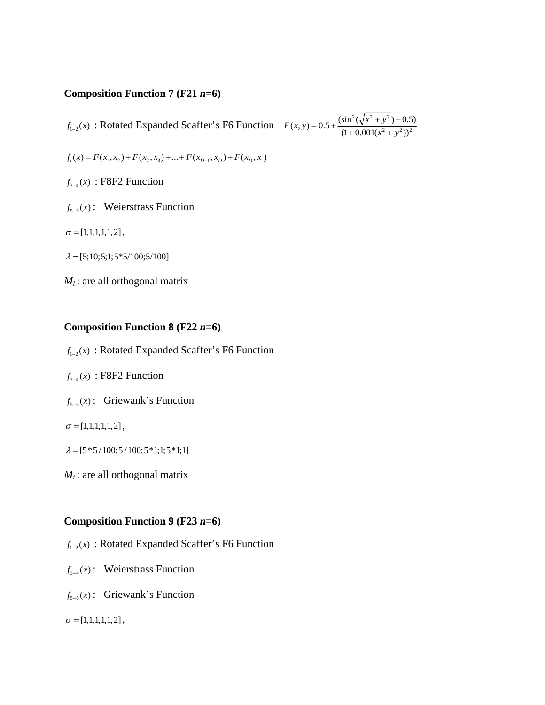# **Composition Function 7 (F21** *n***=6)**

 $f_{1-2}(x)$ : Rotated Expanded Scaffer's F6 Function  $F(x, y) = 0.5 + \frac{(\sin^2(\sqrt{x^2 + y^2}) - 0.5)}{(1 + 0.001(x^2 + y^2))^2}$  $= 0.5 + \frac{(\sin^2(\sqrt{x^2 + y^2}) - (1 + 0.001(x^2 + y^2)))}{(1 + 0.001(x^2 + y^2)))}$ 

$$
f_i(x) = F(x_1, x_2) + F(x_2, x_3) + \dots + F(x_{D-1}, x_D) + F(x_D, x_1)
$$

 $f_{3-4}(x)$ : F8F2 Function

- $f_{5-6}(x)$ : Weierstrass Function
- $\sigma = [1, 1, 1, 1, 1, 2],$
- $\lambda = [5; 10; 5; 1; 5*5/100; 5/100]$
- $M_i$ : are all orthogonal matrix

## **Composition Function 8 (F22** *n***=6)**

- $f_{1-2}(x)$ : Rotated Expanded Scaffer's F6 Function
- $f_{3-4}(x)$ : F8F2 Function
- $f_{5-6}(x)$ : Griewank's Function
- $\sigma = [1, 1, 1, 1, 1, 2],$
- $\lambda = [5 * 5 / 100; 5 / 100; 5 * 1; 1; 5 * 1; 1]$
- $M_i$ : are all orthogonal matrix

# **Composition Function 9 (F23** *n***=6)**

- $f_{1-2}(x)$ : Rotated Expanded Scaffer's F6 Function
- $f_{3-4}(x)$ : Weierstrass Function
- $f_{5-6}(x)$ : Griewank's Function

 $\sigma = [1, 1, 1, 1, 1, 2],$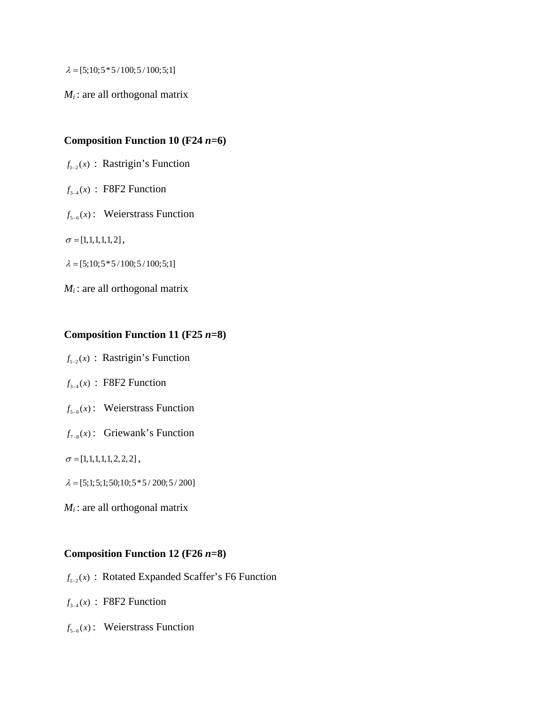$\lambda = [5;10;5*5/100;5/100;5;1]$ 

*M<sub>i</sub>*: are all orthogonal matrix

# **Composition Function 10 (F24** *n***=6)**

- $f_{1-2}(x)$  : Rastrigin's Function
- $f_{3-4}(x)$  : F8F2 Function
- $f_{5-6}(x)$ : Weierstrass Function

 $\sigma = [1, 1, 1, 1, 1, 2],$ 

 $\lambda = [5;10;5*5/100;5/100;5;1]$ 

 $M_i$ : are all orthogonal matrix

# **Composition Function 11 (F25** *n***=8)**

 $f_{1-2}(x)$ : Rastrigin's Function

- $f_{3-4}(x)$ : F8F2 Function
- $f_{5-6}(x)$ : Weierstrass Function
- $f_{7-8}(x)$ : Griewank's Function

 $\sigma = [1, 1, 1, 1, 1, 2, 2, 2]$ ,

- $\lambda = [5;1;5;1;50;10;5*5/200;5/200]$
- $M_i$ : are all orthogonal matrix

# **Composition Function 12 (F26** *n***=8)**

- $f_{1-2}(x)$ : Rotated Expanded Scaffer's F6 Function
- $f_{3-4}(x)$ : F8F2 Function
- $f_{5-6}(x)$ : Weierstrass Function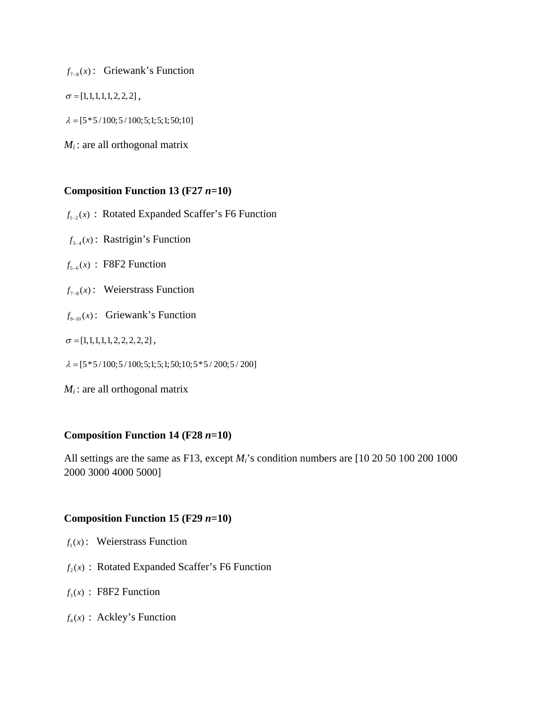$f_{7-8}(x)$ : Griewank's Function

 $\sigma = [1, 1, 1, 1, 1, 2, 2, 2]$ ,

 $\lambda = [5 * 5 / 100; 5 / 100; 5; 1; 5; 1; 50; 10]$ 

 $M_i$ : are all orthogonal matrix

# **Composition Function 13 (F27** *n***=10)**

 $f_{1-2}(x)$ : Rotated Expanded Scaffer's F6 Function

 $f_{3-4}(x)$ : Rastrigin's Function

 $f_{5-6}(x)$ : F8F2 Function

 $f_{7-8}(x)$ : Weierstrass Function

 $f_{9-10}(x)$ : Griewank's Function

 $\sigma = [1, 1, 1, 1, 1, 2, 2, 2, 2, 2]$ ,

 $\lambda = [5 * 5 / 100; 5 / 100; 5; 1; 5; 1; 50; 10; 5 * 5 / 200; 5 / 200]$ 

 $M_i$ : are all orthogonal matrix

## **Composition Function 14 (F28** *n***=10)**

All settings are the same as F13, except *Mi*'s condition numbers are [10 20 50 100 200 1000 2000 3000 4000 5000]

### **Composition Function 15 (F29**  $n=10$ **)**

- $f_1(x)$ : Weierstrass Function
- $f_2(x)$ : Rotated Expanded Scaffer's F6 Function
- $f_3(x)$ : F8F2 Function
- $f_{\mu}(x)$ : Ackley's Function